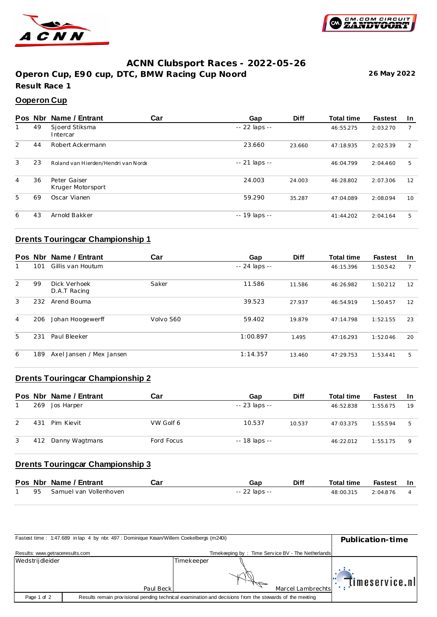



### **ACNN Clubsport Races - 2022-05-26**

**Operon Cup, E90 cup, DTC, BMW Racing Cup Noord 26 May 2022 Result Race 1**

#### **Ooperon Cup**

|   | Pos Nbr | Name / Entrant                      | Car | Gap           | <b>Diff</b> | <b>Total time</b> | <b>Fastest</b> | <u>In</u> |
|---|---------|-------------------------------------|-----|---------------|-------------|-------------------|----------------|-----------|
|   | 49      | Sjoerd Stiksma<br>Intercar          |     | -- 22 laps -- |             | 46:55.275         | 2:03.270       | 7         |
| 2 | 44      | Robert Ackermann                    |     | 23.660        | 23.660      | 47:18.935         | 2:02.539       | 2         |
| 3 | 23      | Roland van Hierden/Hendri van Norde |     | -- 21 laps -- |             | 46:04.799         | 2:04.460       | 5         |
| 4 | 36      | Peter Gaiser<br>Kruger Motorsport   |     | 24.003        | 24.003      | 46:28.802         | 2:07.306       | 12        |
| 5 | 69      | Oscar Vianen                        |     | 59.290        | 35.287      | 47:04.089         | 2:08.094       | 10        |
| 6 | 43      | Arnold Bakker                       |     | -- 19 laps -- |             | 41:44.202         | 2:04.164       | 5         |

# **Drents Touringcar Championship 1**

| Pos Nbr |     | Name / Entrant               | Car       | Gap           | <b>Diff</b> | <b>Total time</b> | <b>Fastest</b> | <b>In</b> |
|---------|-----|------------------------------|-----------|---------------|-------------|-------------------|----------------|-----------|
|         | 101 | Gillis van Houtum            |           | -- 24 laps -- |             | 46:15.396         | 1:50.542       |           |
| 2       | 99  | Dick Verhoek<br>D.A.T Racing | Saker     | 11.586        | 11.586      | 46:26.982         | 1:50.212       | 12        |
| 3       | 232 | Arend Bouma                  |           | 39.523        | 27.937      | 46:54.919         | 1:50.457       | 12        |
| 4       | 206 | Johan Hoogewerff             | Volvo S60 | 59.402        | 19.879      | 47:14.798         | 1:52.155       | 23        |
| 5       | 231 | Paul Bleeker                 |           | 1:00.897      | 1.495       | 47:16.293         | 1:52.046       | 20        |
| 6       | 189 | Axel Jansen / Mex Jansen     |           | 1:14.357      | 13.460      | 47:29.753         | 1:53.441       | 5         |

# **Drents Touringcar Championship 2**

|   |     | Pos Nbr Name / Entrant | Car        | Gap           | <b>Diff</b> | <b>Total time</b> | <b>Fastest</b> | -In         |
|---|-----|------------------------|------------|---------------|-------------|-------------------|----------------|-------------|
|   | 269 | Jos Harper             |            | -- 23 laps -- |             | 46:52.838         | 1:55.675       | 19          |
| 2 | 431 | Pim Kievit             | VW Golf 6  | 10.537        | 10.537      | 47:03.375         | 1:55.594       | 5           |
| 3 | 412 | Danny Wagtmans         | Ford Focus | -- 18 laps -- |             | 46:22.012         | 1:55.175       | $\mathsf Q$ |

# **Drents Touringcar Championship 3**

|  | Pos Nbr Name / Entrant    | Car | Gap           | <b>Diff</b> | <b>Total time</b> | Fastest In |  |
|--|---------------------------|-----|---------------|-------------|-------------------|------------|--|
|  | 95 Samuel van Vollenhoven |     | -- 22 laps -- |             | 48:00.315         | 2:04.876   |  |

| Fastest time: 1:47.689 in lap 4 by nbr. 497 : Dominique Kraan/Willem Coekelbergs (m240i) | Publication-time |                                                                                                         |                   |  |
|------------------------------------------------------------------------------------------|------------------|---------------------------------------------------------------------------------------------------------|-------------------|--|
| Results: www.getraceresults.com                                                          |                  | Timekeeping by: Time Service BV - The Netherlands                                                       |                   |  |
| Wedstrijdleider                                                                          |                  | Timekeeper                                                                                              | timeservice.nl    |  |
|                                                                                          | Paul Beck        |                                                                                                         | Marcel Lambrechts |  |
| Page 1 of 2                                                                              |                  | Results remain provisional pending technical examination and decisions from the stewards of the meeting |                   |  |